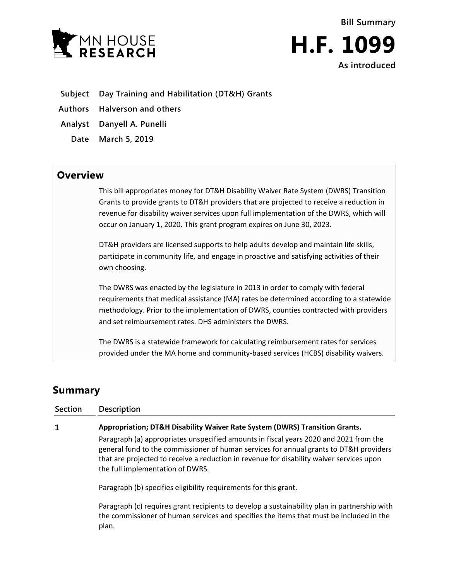

**Bill Summary H.F. 1099 As introduced**

**Subject Day Training and Habilitation (DT&H) Grants**

**Authors Halverson and others**

**Analyst Danyell A. Punelli**

**Date March 5, 2019**

## **Overview**

This bill appropriates money for DT&H Disability Waiver Rate System (DWRS) Transition Grants to provide grants to DT&H providers that are projected to receive a reduction in revenue for disability waiver services upon full implementation of the DWRS, which will occur on January 1, 2020. This grant program expires on June 30, 2023.

DT&H providers are licensed supports to help adults develop and maintain life skills, participate in community life, and engage in proactive and satisfying activities of their own choosing.

The DWRS was enacted by the legislature in 2013 in order to comply with federal requirements that medical assistance (MA) rates be determined according to a statewide methodology. Prior to the implementation of DWRS, counties contracted with providers and set reimbursement rates. DHS administers the DWRS.

The DWRS is a statewide framework for calculating reimbursement rates for services provided under the MA home and community-based services (HCBS) disability waivers.

## **Summary**

| <b>Section</b> | <b>Description</b>                                                                                                                                                                                                                                                                                              |
|----------------|-----------------------------------------------------------------------------------------------------------------------------------------------------------------------------------------------------------------------------------------------------------------------------------------------------------------|
| 1              | Appropriation; DT&H Disability Waiver Rate System (DWRS) Transition Grants.                                                                                                                                                                                                                                     |
|                | Paragraph (a) appropriates unspecified amounts in fiscal years 2020 and 2021 from the<br>general fund to the commissioner of human services for annual grants to DT&H providers<br>that are projected to receive a reduction in revenue for disability waiver services upon<br>the full implementation of DWRS. |
|                | Paragraph (b) specifies eligibility requirements for this grant.                                                                                                                                                                                                                                                |
|                | Paragraph (c) requires grant recipients to develop a sustainability plan in partnership with<br>the commissioner of human services and specifies the items that must be included in the<br>plan.                                                                                                                |